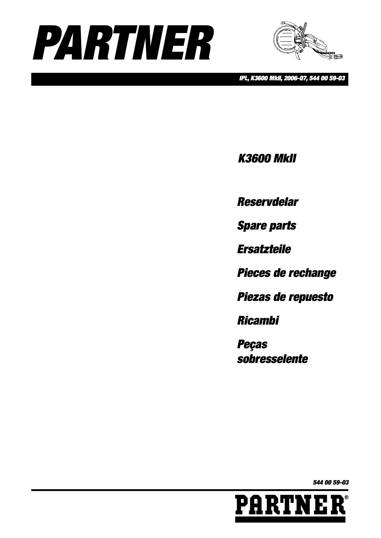



*IPL, K3600 MkII, 2006-07, 544 00 59-03*

*K3600 MkII*

*Reservdelar*

*Spare parts*

*Ersatzteile*

*Pieces de rechange*

*Piezas de repuesto*

*Ricambi*

*Peças sobresselente*

*544 00 59-03*

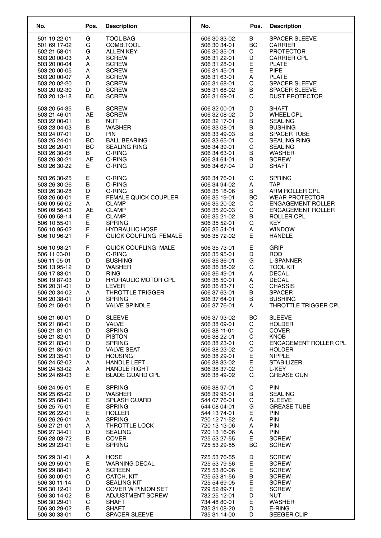| No.                          | Pos.      | <b>Description</b>                  | No.                          | Pos.      | <b>Description</b>           |
|------------------------------|-----------|-------------------------------------|------------------------------|-----------|------------------------------|
| 501 19 22-01                 | G         | <b>TOOL BAG</b>                     | 506 30 33-02                 | В         | SPACER SLEEVE                |
| 501 69 17-02                 | G         | COMB.TOOL                           | 506 30 34-01                 | <b>BC</b> | <b>CARRIER</b>               |
| 502 21 58-01                 | G         | <b>ALLEN KEY</b>                    | 506 30 35-01                 | C         | <b>PROTECTOR</b>             |
| 503 20 00-03                 | A         | <b>SCREW</b>                        | 506 31 22-01                 | D         | <b>CARRIER CPL</b>           |
| 503 20 00-04                 | А         | <b>SCREW</b>                        | 506 31 28-01                 | E         | <b>PLATE</b>                 |
| 503 20 00-05                 | A         | <b>SCREW</b>                        | 506 31 45-01                 | E         | <b>PIPE</b>                  |
| 503 20 00-07                 | A         | <b>SCREW</b>                        | 506 31 63-01                 | Α         | <b>PLATE</b>                 |
| 503 20 02-20                 | D         | <b>SCREW</b>                        | 506 31 68-01                 | C         | SPACER SLEEVE                |
| 503 20 02-30                 | D         | <b>SCREW</b>                        | 506 31 68-02                 | В         | SPACER SLEEVE                |
| 503 20 13-18                 | BC        | <b>SCREW</b>                        | 506 31 69-01                 | C         | <b>DUST PROTECTOR</b>        |
| 503 20 54-35                 | В         | <b>SCREW</b>                        | 506 32 00-01                 | D         | <b>SHAFT</b>                 |
| 503 21 46-01                 | AE        | <b>SCREW</b>                        | 506 32 08-02                 | D         | <b>WHEEL CPL</b>             |
| 503 22 00-01                 | В         | <b>NUT</b>                          | 506 32 17-01                 | B         | <b>SEALING</b>               |
| 503 23 04-03                 | В         | <b>WASHER</b>                       | 506 33 08-01                 | В         | <b>BUSHING</b>               |
| 503 24 07-01                 | D         | <b>PIN</b>                          | 506 33 49-03                 | В         | SPACER TUBE                  |
| 503 25 24-01                 | BC        | <b>BALL BEARING</b>                 | 506 33 65-01                 | С         | <b>SEALING RING</b>          |
| 503 26 20-01                 | BC        | <b>SEALING RING</b>                 | 506 34 39-01                 | С         | <b>SEALING</b>               |
| 503 26 30-08                 | B         | O-RING                              | 506 34 63-01                 | В         | <b>WASHER</b>                |
| 503 26 30-21                 | <b>AE</b> | O-RING                              | 506 34 64-01                 | B         | <b>SCREW</b>                 |
| 503 26 30-22                 | E.        | O-RING                              | 506 34 67-04                 | D         | <b>SHAFT</b>                 |
| 503 26 30-25                 | Е         | O-RING                              | 506 34 76-01                 | C         | <b>SPRING</b>                |
| 503 26 30-26                 | B         | O-RING                              | 506 34 94-02                 | Α         | <b>TAP</b>                   |
| 503 26 30-28                 | D         | O-RING                              | 506 35 18-06                 | В         | ARM ROLLER CPL               |
| 503 26 60-01                 | E         | <b>FEMALE QUICK COUPLER</b>         | 506 35 19-01                 | BC        | <b>WEAR PROTECTOR</b>        |
| 506 09 56-02                 | A         | <b>CLAMP</b>                        | 506 35 20-02                 | C         | <b>ENGAGEMENT ROLLER</b>     |
| 506 09 56-03                 | AE        | <b>CLAMP</b>                        | 506 35 20-03                 | С         | <b>ENGAGEMENT ROLLER</b>     |
| 506 09 58-14                 | Е         | <b>CLAMP</b>                        | 506 35 21-02                 | В         | ROLLER CPL.                  |
| 506 10 55-01                 | E         | <b>SPRING</b>                       | 506 35 52-01                 | G         | <b>KEY</b>                   |
| 506 10 95-02                 | F         | <b>HYDRAULIC HOSE</b>               | 506 35 54-01                 | A         | <b>WINDOW</b>                |
| 506 10 96-21                 | F         | QUICK COUPLING FEMALE               | 506 35 72-02                 | Е         | <b>HANDLE</b>                |
| 506 10 98-21                 | F         | QUICK COUPLING MALE                 | 506 35 73-01                 | Е         | <b>GRIP</b>                  |
| 506 11 03-01                 | D         | O-RING                              | 506 35 95-01                 | D         | <b>ROD</b>                   |
| 506 11 05-01                 | D         | <b>BUSHING</b>                      | 506 36 36-01                 | G         | <b>L-SPANNER</b>             |
| 506 13 95-12                 | D         | <b>WASHER</b>                       | 506 36 38-02                 | G         | <b>TOOL KIT</b>              |
| 506 17 83-01                 | D         | <b>RING</b>                         | 506 36 49-01                 | A         | <b>DECAL</b>                 |
| 506 19 87-03                 | D         | <b>HYDRAULIC MOTOR CPL</b>          | 506 36 50-01                 | A         | <b>DECAL</b>                 |
| 506 20 31-01                 | D         | <b>LEVER</b>                        | 506 36 83-71                 | C         | <b>CHASSIS</b>               |
| 506 20 34-02                 | А         | <b>THROTTLE TRIGGER</b>             | 506 37 63-01                 | В         | <b>SPACER</b>                |
| 506 20 38-01                 | D         | <b>SPRING</b>                       | 506 37 64-01                 | B         | <b>BUSHING</b>               |
| 506 21 59-01                 | D         | <b>VALVE SPINDLE</b>                | 506 37 76-01                 | A         | THROTTLE TRIGGER CPL         |
| 506 21 60-01                 | D         | <b>SLEEVE</b>                       | 506 37 93-02                 | BC        | <b>SLEEVE</b>                |
| 506 21 80-01                 | D         | VALVE                               | 506 38 09-01                 | C         | <b>HOLDER</b>                |
| 506 21 81-01                 | D         | <b>SPRING</b>                       | 506 38 11-01                 | С         | COVER                        |
| 506 21 82-01                 | D         | <b>PISTON</b>                       | 506 38 22-01                 | C         | <b>KNOB</b>                  |
| 506 21 83-01                 | D         | <b>SPRING</b>                       | 506 38 23-01                 | С         | <b>ENGAGEMENT ROLLER CPL</b> |
| 506 21 85-01                 | D         | <b>VALVE SEAT</b>                   | 506 38 23-02                 | С         | <b>HOLDER</b>                |
| 506 23 35-01                 | D         | <b>HOUSING</b>                      | 506 38 29-01                 | E         | <b>NIPPLE</b>                |
| 506 24 52-02                 | А         | <b>HANDLE LEFT</b>                  | 506 38 33-02                 | E         | <b>STABILIZER</b>            |
| 506 24 53-02                 | Α         | <b>HANDLE RIGHT</b>                 | 506 38 37-02                 | G         | L-KEY                        |
| 506 24 69-03                 | E.        | <b>BLADE GUARD CPL</b>              | 506 38 49-02                 | G         | <b>GREASE GUN</b>            |
| 506 24 95-01                 | Е         | <b>SPRING</b>                       | 506 38 97-01                 | C         | <b>PIN</b>                   |
| 506 25 65-02                 | D         | <b>WASHER</b>                       | 506 39 95-01                 | В         | <b>SEALING</b>               |
| 506 25 68-01                 | E         | <b>SPLASH GUARD</b>                 | 544 07 76-01                 | C         | <b>SLEEVE</b>                |
| 506 25 75-01                 | E         | <b>SPRING</b>                       | 544 08 04-01                 | G         | <b>GREASE TUBE</b>           |
| 506 26 22-01                 | Ε         | <b>ROLLER</b>                       | 544 13 74-01                 | E         | <b>PIN</b>                   |
| 506 26 26-01                 | А         | <b>SPRING</b>                       | 720 12 71-52                 | A         | <b>PIN</b>                   |
| 506 27 21-01                 | A         | THROTTLE LOCK                       | 720 13 13-06                 | A         | <b>PIN</b>                   |
| 506 27 34-01                 | D         | <b>SEALING</b>                      | 720 13 16-06                 | A         | <b>PIN</b>                   |
| 506 28 03-72                 | В         | <b>COVER</b>                        | 725 53 27-55                 | Е.        | <b>SCREW</b>                 |
| 506 29 23-01                 | E         | <b>SPRING</b>                       | 725 53 29-55                 | <b>BC</b> | <b>SCREW</b>                 |
| 506 29 31-01                 | A         | <b>HOSE</b><br><b>WARNING DECAL</b> | 725 53 76-55                 | D         | <b>SCREW</b><br><b>SCREW</b> |
| 506 29 59-01<br>506 29 88-01 | Е<br>А    | <b>SCREEN</b>                       | 725 53 79-56<br>725 53 80-06 | E<br>E    | <b>SCREW</b>                 |
| 506 30 09-01                 | С         | CATCH, KIT                          | 725 53 81-56                 | В         | <b>SCREW</b>                 |
| 506 30 11-14                 | D         | <b>SEALING KIT</b>                  | 725 54 69-05                 | E         | <b>SCREW</b>                 |
| 506 30 12-01                 | D         | COVER W PINION SET                  | 729 52 89-71                 | E         | <b>SCREW</b>                 |
| 506 30 14-02                 | В         | ADJUSTMENT SCREW                    | 732 25 12-01                 | D         | NUT                          |
| 506 30 29-01                 | C         | <b>SHAFT</b>                        | 734 48 80-01                 | E         | <b>WASHER</b>                |
| 506 30 29-02                 | В         | <b>SHAFT</b>                        | 735 31 08-20                 | D         | E-RING                       |
| 506 30 33-01                 | C         | <b>SPACER SLEEVE</b>                | 735 31 14-00                 | D         | <b>SEEGER CLIP</b>           |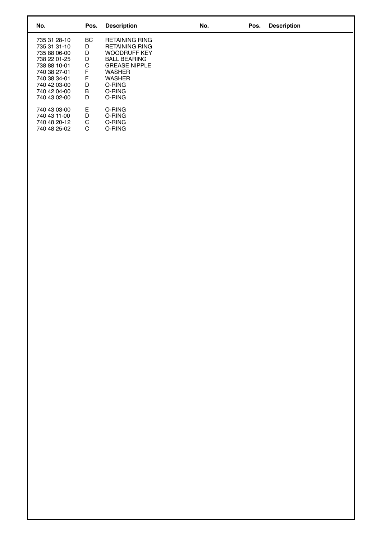| No.                                                                                                                                                          | Pos.                                                                                                                                     | <b>Description</b>                                                                                                                                | No. | Pos. Description |
|--------------------------------------------------------------------------------------------------------------------------------------------------------------|------------------------------------------------------------------------------------------------------------------------------------------|---------------------------------------------------------------------------------------------------------------------------------------------------|-----|------------------|
| 735 31 28-10<br>735 31 31-10<br>735 88 06-00<br>738 22 01-25<br>738 88 10-01<br>740 38 27-01<br>740 38 34-01<br>740 42 03-00<br>740 42 04-00<br>740 43 02-00 | $\sf BC$<br>$\mathsf D$<br>$\mathsf D$<br>$\begin{array}{c} D \\ C \\ F \end{array}$<br>$\mathsf F$<br>$_{\rm B}^{\rm D}$<br>$\mathsf D$ | <b>RETAINING RING</b><br><b>RETAINING RING</b><br>WOODRUFF KEY<br>BALL BEARING<br>GREASE NIPPLE<br>WASHER<br>WASHER<br>O-RING<br>O-RING<br>O-RING |     |                  |
| 740 43 03-00<br>740 43 11-00<br>740 48 20-12<br>740 48 25-02                                                                                                 | $_{\rm D}^{\rm E}$<br>${\bf C}$<br>${\bf C}$                                                                                             | O-RING<br>O-RING<br>O-RING<br>O-RING                                                                                                              |     |                  |
|                                                                                                                                                              |                                                                                                                                          |                                                                                                                                                   |     |                  |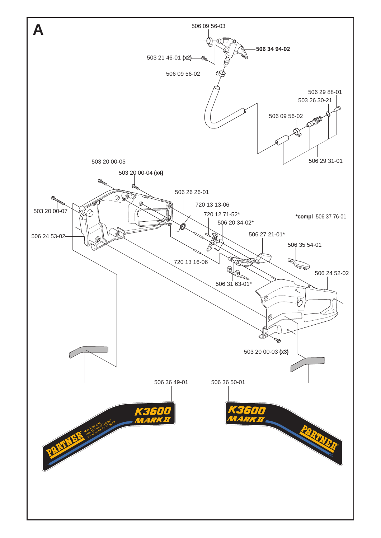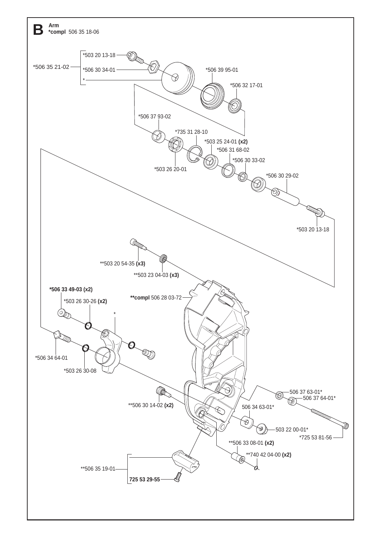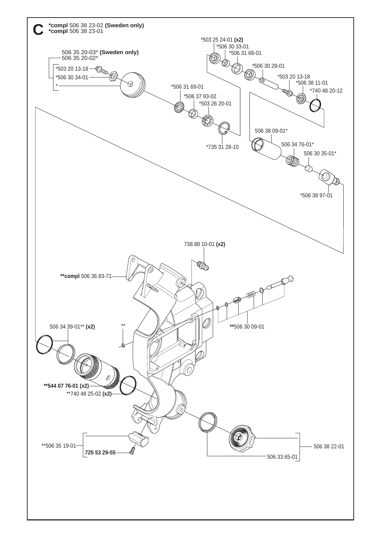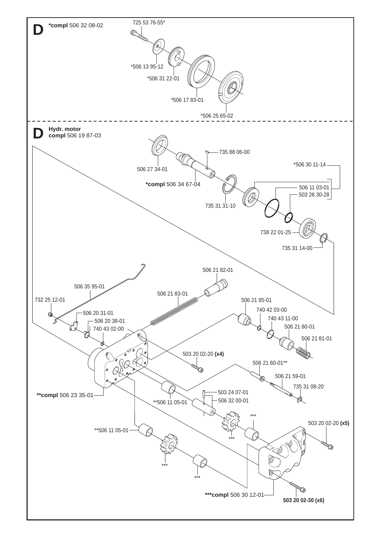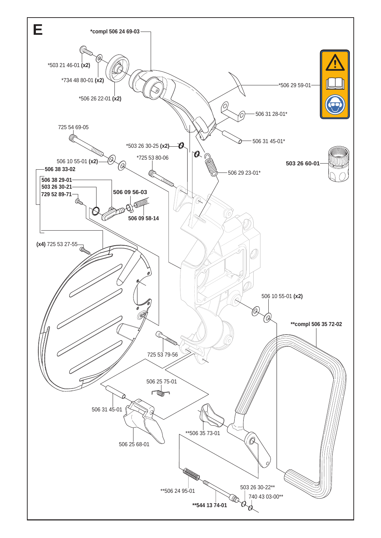